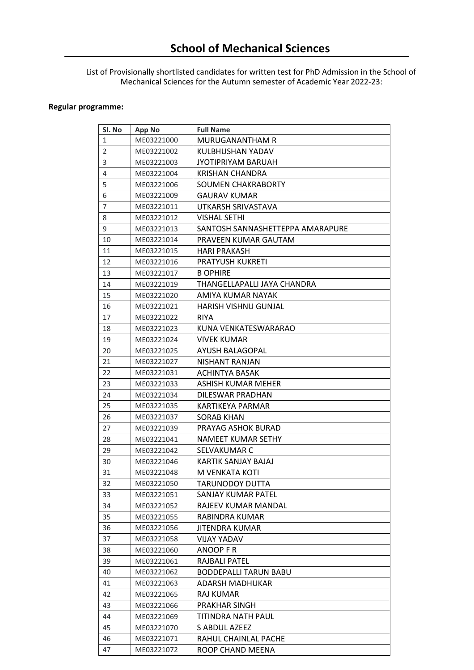List of Provisionally shortlisted candidates for written test for PhD Admission in the School of Mechanical Sciences for the Autumn semester of Academic Year 2022-23:

## **Regular programme:**

| SI. No         | <b>App No</b> | <b>Full Name</b>                 |
|----------------|---------------|----------------------------------|
| $\mathbf{1}$   | ME03221000    | MURUGANANTHAM R                  |
| $\overline{2}$ | ME03221002    | KULBHUSHAN YADAV                 |
| 3              | ME03221003    | <b>JYOTIPRIYAM BARUAH</b>        |
| 4              | ME03221004    | <b>KRISHAN CHANDRA</b>           |
| 5              | ME03221006    | SOUMEN CHAKRABORTY               |
| 6              | ME03221009    | <b>GAURAV KUMAR</b>              |
| $\overline{7}$ | ME03221011    | UTKARSH SRIVASTAVA               |
| 8              | ME03221012    | <b>VISHAL SETHI</b>              |
| 9              | ME03221013    | SANTOSH SANNASHETTEPPA AMARAPURE |
| 10             | ME03221014    | PRAVEEN KUMAR GAUTAM             |
| 11             | ME03221015    | <b>HARI PRAKASH</b>              |
| 12             | ME03221016    | <b>PRATYUSH KUKRETI</b>          |
| 13             | ME03221017    | <b>B OPHIRE</b>                  |
| 14             | ME03221019    | THANGELLAPALLI JAYA CHANDRA      |
| 15             | ME03221020    | AMIYA KUMAR NAYAK                |
| 16             | ME03221021    | <b>HARISH VISHNU GUNJAL</b>      |
| 17             | ME03221022    | <b>RIYA</b>                      |
| 18             | ME03221023    | KUNA VENKATESWARARAO             |
| 19             | ME03221024    | VIVEK KUMAR                      |
| 20             | ME03221025    | AYUSH BALAGOPAL                  |
| 21             | ME03221027    | NISHANT RANJAN                   |
| 22             | ME03221031    | ACHINTYA BASAK                   |
| 23             | ME03221033    | ASHISH KUMAR MEHER               |
| 24             | ME03221034    | DILESWAR PRADHAN                 |
| 25             | ME03221035    | KARTIKEYA PARMAR                 |
| 26             | ME03221037    | <b>SORAB KHAN</b>                |
| 27             | ME03221039    | PRAYAG ASHOK BURAD               |
| 28             | ME03221041    | NAMEET KUMAR SETHY               |
| 29             | ME03221042    | SELVAKUMAR C                     |
| 30             | ME03221046    | KARTIK SANJAY BAJAJ              |
| 31             | ME03221048    | M VENKATA KOTI                   |
| 32             | ME03221050    | <b>TARUNODOY DUTTA</b>           |
| 33             | ME03221051    | SANJAY KUMAR PATEL               |
| 34             | ME03221052    | RAJEEV KUMAR MANDAL              |
| 35             | ME03221055    | RABINDRA KUMAR                   |
| 36             | ME03221056    | JITENDRA KUMAR                   |
| 37             | ME03221058    | <b>VIJAY YADAV</b>               |
| 38             | ME03221060    | ANOOP F R                        |
| 39             | ME03221061    | RAJBALI PATEL                    |
| 40             | ME03221062    | <b>BODDEPALLI TARUN BABU</b>     |
| 41             | ME03221063    | ADARSH MADHUKAR                  |
| 42             | ME03221065    | <b>RAJ KUMAR</b>                 |
| 43             | ME03221066    | PRAKHAR SINGH                    |
| 44             | ME03221069    | TITINDRA NATH PAUL               |
| 45             | ME03221070    | S ABDUL AZEEZ                    |
| 46             | ME03221071    | RAHUL CHAINLAL PACHE             |
| 47             | ME03221072    | ROOP CHAND MEENA                 |
|                |               |                                  |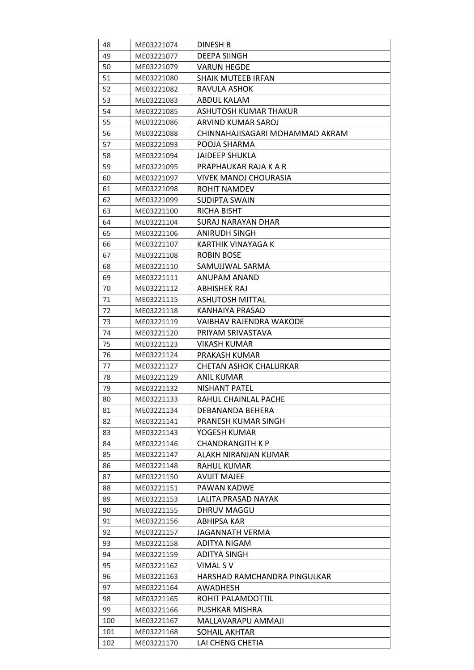| 48        | ME03221074               | <b>DINESH B</b>                          |
|-----------|--------------------------|------------------------------------------|
| 49        | ME03221077               | <b>DEEPA SIINGH</b>                      |
| 50        | ME03221079               | <b>VARUN HEGDE</b>                       |
| 51        | ME03221080               | <b>SHAIK MUTEEB IRFAN</b>                |
| 52        | ME03221082               | RAVULA ASHOK                             |
| 53        | ME03221083               | ABDUL KALAM                              |
| 54        | ME03221085               | ASHUTOSH KUMAR THAKUR                    |
| 55        | ME03221086               | ARVIND KUMAR SAROJ                       |
| 56        | ME03221088               | CHINNAHAJISAGARI MOHAMMAD AKRAM          |
| 57        | ME03221093               | POOJA SHARMA                             |
| 58        | ME03221094               | <b>JAIDEEP SHUKLA</b>                    |
| 59        | ME03221095               | PRAPHAUKAR RAJA K A R                    |
| 60        | ME03221097               | VIVEK MANOJ CHOURASIA                    |
| 61        | ME03221098               | ROHIT NAMDEV                             |
| 62        | ME03221099               | <b>SUDIPTA SWAIN</b>                     |
| 63        | ME03221100               | <b>RICHA BISHT</b>                       |
| 64        | ME03221104               | <b>SURAJ NARAYAN DHAR</b>                |
| 65        | ME03221106               | <b>ANIRUDH SINGH</b>                     |
| 66        | ME03221107               | KARTHIK VINAYAGA K                       |
| 67        | ME03221108               | ROBIN BOSE                               |
| 68        | ME03221110               | SAMUJJWAL SARMA                          |
| 69        | ME03221111               | <b>ANUPAM ANAND</b>                      |
| 70        | ME03221112               | ABHISHEK RAJ                             |
| 71        | ME03221115               | <b>ASHUTOSH MITTAL</b>                   |
| 72        | ME03221118               | KANHAIYA PRASAD                          |
| 73        | ME03221119               | VAIBHAV RAJENDRA WAKODE                  |
| 74        | ME03221120               | PRIYAM SRIVASTAVA                        |
| 75        | ME03221123               | <b>VIKASH KUMAR</b>                      |
| 76        | ME03221124               | PRAKASH KUMAR                            |
| 77        | ME03221127               | CHETAN ASHOK CHALURKAR                   |
| 78        | ME03221129               | ANIL KUMAR                               |
| 79        | ME03221132               | <b>NISHANT PATEL</b>                     |
| 80        | ME03221133               | RAHUL CHAINLAL PACHE                     |
| 81        | ME03221134               | DEBANANDA BEHERA                         |
| 82        | ME03221141               | PRANESH KUMAR SINGH                      |
| 83        | ME03221143               | YOGESH KUMAR                             |
| 84        | ME03221146               | <b>CHANDRANGITH K P</b>                  |
| 85        | ME03221147               | ALAKH NIRANJAN KUMAR                     |
| 86        | ME03221148               | <b>RAHUL KUMAR</b>                       |
| 87        | ME03221150               | <b>AVIJIT MAJEE</b>                      |
| 88        | ME03221151               | PAWAN KADWE                              |
| 89        | ME03221153               | LALITA PRASAD NAYAK                      |
| 90        | ME03221155               | DHRUV MAGGU                              |
| 91        | ME03221156               | ABHIPSA KAR                              |
| 92        | ME03221157               | JAGANNATH VERMA                          |
| 93        |                          | ADITYA NIGAM                             |
| 94        | ME03221158<br>ME03221159 | ADITYA SINGH                             |
| 95        | ME03221162               | VIMAL SV                                 |
|           |                          |                                          |
| 96        | ME03221163               | HARSHAD RAMCHANDRA PINGULKAR<br>AWADHESH |
| 97        | ME03221164               |                                          |
| 98        | ME03221165               | ROHIT PALAMOOTTIL                        |
| 99<br>100 | ME03221166<br>ME03221167 | PUSHKAR MISHRA<br>MALLAVARAPU AMMAJI     |
|           |                          | SOHAIL AKHTAR                            |
| 101       | ME03221168               |                                          |
| 102       | ME03221170               | LAI CHENG CHETIA                         |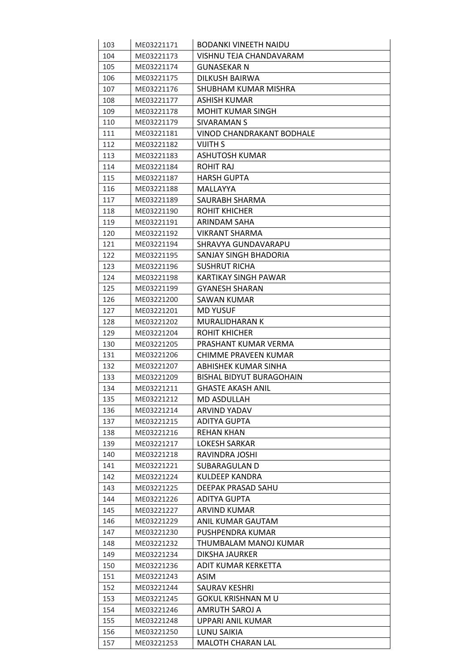| 103 | ME03221171 | <b>BODANKI VINEETH NAIDU</b> |
|-----|------------|------------------------------|
| 104 | ME03221173 | VISHNU TEJA CHANDAVARAM      |
| 105 | ME03221174 | <b>GUNASEKAR N</b>           |
| 106 | ME03221175 | DILKUSH BAIRWA               |
| 107 | ME03221176 | SHUBHAM KUMAR MISHRA         |
| 108 | ME03221177 | ASHISH KUMAR                 |
| 109 | ME03221178 | <b>MOHIT KUMAR SINGH</b>     |
| 110 | ME03221179 | SIVARAMAN S                  |
| 111 | ME03221181 | VINOD CHANDRAKANT BODHALE    |
| 112 | ME03221182 | VIJITH S                     |
| 113 | ME03221183 | ASHUTOSH KUMAR               |
| 114 | ME03221184 | ROHIT RAJ                    |
| 115 | ME03221187 | <b>HARSH GUPTA</b>           |
| 116 | ME03221188 | MALLAYYA                     |
| 117 | ME03221189 | SAURABH SHARMA               |
| 118 | ME03221190 | ROHIT KHICHER                |
| 119 | ME03221191 | ARINDAM SAHA                 |
| 120 | ME03221192 | VIKRANT SHARMA               |
| 121 | ME03221194 | SHRAVYA GUNDAVARAPU          |
| 122 | ME03221195 | SANJAY SINGH BHADORIA        |
| 123 | ME03221196 | <b>SUSHRUT RICHA</b>         |
| 124 | ME03221198 | KARTIKAY SINGH PAWAR         |
| 125 | ME03221199 | <b>GYANESH SHARAN</b>        |
| 126 | ME03221200 | SAWAN KUMAR                  |
| 127 | ME03221201 | <b>MD YUSUF</b>              |
| 128 | ME03221202 | <b>MURALIDHARAN K</b>        |
| 129 | ME03221204 | ROHIT KHICHER                |
| 130 | ME03221205 | PRASHANT KUMAR VERMA         |
| 131 | ME03221206 | CHIMME PRAVEEN KUMAR         |
| 132 | ME03221207 | ABHISHEK KUMAR SINHA         |
| 133 | ME03221209 | BISHAL BIDYUT BURAGOHAIN     |
| 134 | ME03221211 | GHASTE AKASH ANIL            |
| 135 | ME03221212 | <b>MD ASDULLAH</b>           |
| 136 | ME03221214 | <b>ARVIND YADAV</b>          |
| 137 | ME03221215 | <b>ADITYA GUPTA</b>          |
| 138 | ME03221216 | <b>REHAN KHAN</b>            |
| 139 | ME03221217 | LOKESH SARKAR                |
| 140 | ME03221218 | RAVINDRA JOSHI               |
| 141 | ME03221221 | <b>SUBARAGULAN D</b>         |
| 142 | ME03221224 | KULDEEP KANDRA               |
| 143 | ME03221225 | DEEPAK PRASAD SAHU           |
| 144 | ME03221226 | ADITYA GUPTA                 |
| 145 | ME03221227 | ARVIND KUMAR                 |
| 146 | ME03221229 | ANIL KUMAR GAUTAM            |
| 147 | ME03221230 | PUSHPENDRA KUMAR             |
| 148 | ME03221232 | THUMBALAM MANOJ KUMAR        |
| 149 | ME03221234 | DIKSHA JAURKER               |
| 150 | ME03221236 | ADIT KUMAR KERKETTA          |
| 151 | ME03221243 | ASIM                         |
| 152 | ME03221244 | SAURAV KESHRI                |
| 153 | ME03221245 | <b>GOKUL KRISHNAN MU</b>     |
| 154 | ME03221246 | AMRUTH SAROJ A               |
| 155 | ME03221248 | UPPARI ANIL KUMAR            |
| 156 | ME03221250 | LUNU SAIKIA                  |
| 157 | ME03221253 | MALOTH CHARAN LAL            |